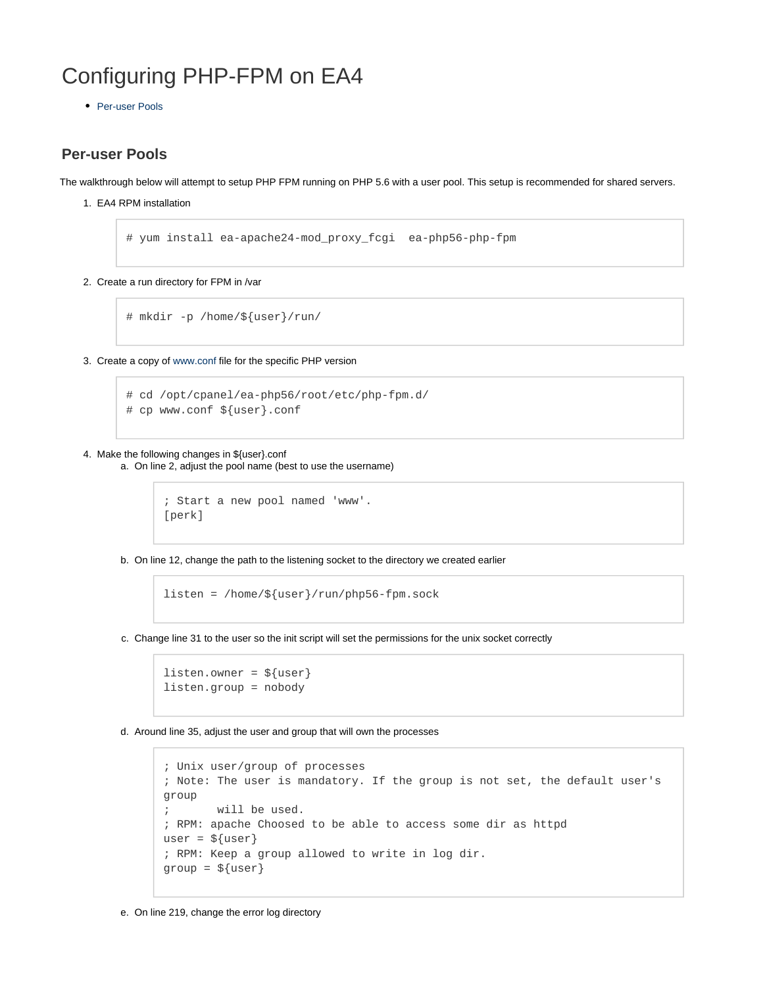# Configuring PHP-FPM on EA4

• [Per-user Pools](#page-0-0)

# <span id="page-0-0"></span>**Per-user Pools**

The walkthrough below will attempt to setup PHP FPM running on PHP 5.6 with a user pool. This setup is recommended for shared servers.

1. EA4 RPM installation

# yum install ea-apache24-mod\_proxy\_fcgi ea-php56-php-fpm

2. Create a run directory for FPM in /var

# mkdir -p /home/\${user}/run/

3. Create a copy of [www.conf](http://www.conf) file for the specific PHP version

```
# cd /opt/cpanel/ea-php56/root/etc/php-fpm.d/
# cp www.conf ${user}.conf
```
#### 4. Make the following changes in \${user}.conf

a. On line 2, adjust the pool name (best to use the username)

```
; Start a new pool named 'www'.
[perk]
```
b. On line 12, change the path to the listening socket to the directory we created earlier

```
listen = /home/${user}/run/php56-fpm.sock
```
c. Change line 31 to the user so the init script will set the permissions for the unix socket correctly

```
listen.owner = \frac{1}{2} {user}
listen.group = nobody
```
d. Around line 35, adjust the user and group that will own the processes

```
; Unix user/group of processes
; Note: The user is mandatory. If the group is not set, the default user's
group
; will be used.
; RPM: apache Choosed to be able to access some dir as httpd
user = \frac{1}{2} {user}
; RPM: Keep a group allowed to write in log dir.
group = \frac{1}{2} {user}
```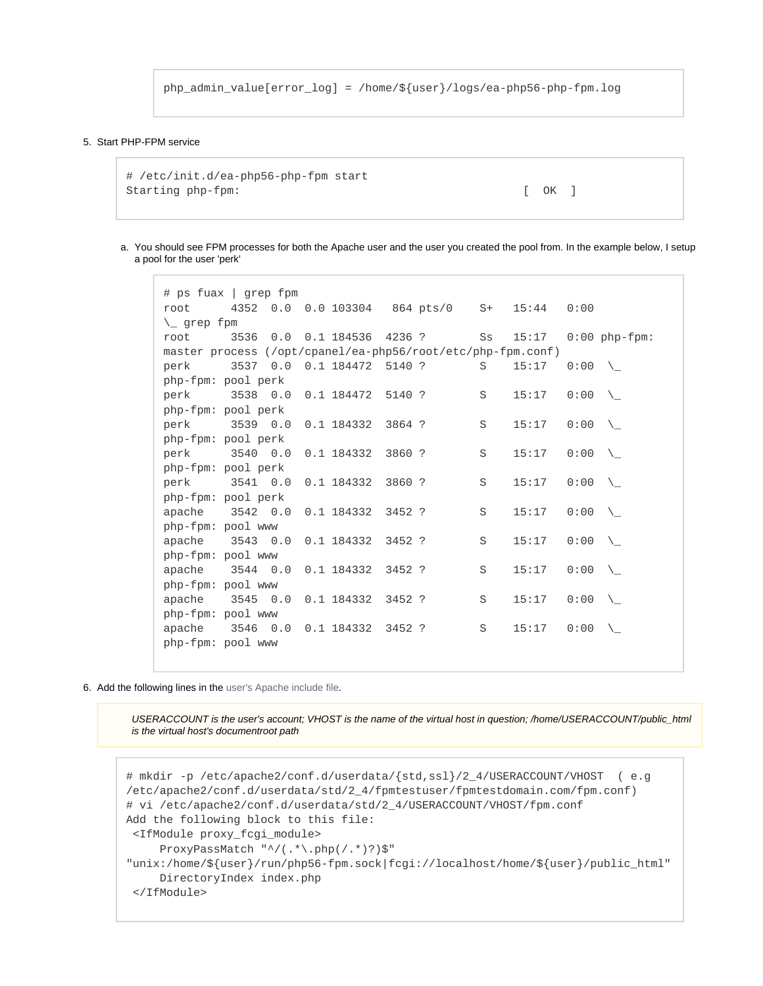```
php_admin_value[error_log] = /home/${user}/logs/ea-php56-php-fpm.log
```
#### 5. Start PHP-FPM service

```
# /etc/init.d/ea-php56-php-fpm start
Starting php-fpm: [ OK ]
```
a. You should see FPM processes for both the Apache user and the user you created the pool from. In the example below, I setup a pool for the user 'perk'

```
# ps fuax | grep fpm
root 4352 0.0 0.0 103304 864 pts/0 S+ 15:44 0:00 
\_ grep fpm
root 3536 0.0 0.1 184536 4236 ? Ss 15:17 0:00 php-fpm:
master process (/opt/cpanel/ea-php56/root/etc/php-fpm.conf)
perk 3537 0.0 0.1 184472 5140 ? S 15:17 0:00 \_
php-fpm: pool perk
perk 3538 0.0 0.1 184472 5140 ? S 15:17 0:00
php-fpm: pool perk
perk 3539 0.0 0.1 184332 3864 ? S 15:17 0:00 \_
php-fpm: pool perk
perk 3540 0.0 0.1 184332 3860 ? S 15:17 0:00 \
php-fpm: pool perk
perk 3541 0.0 0.1 184332 3860 ? S 15:17 0:00 \_
php-fpm: pool perk
apache 3542 0.0 0.1 184332 3452 ? S 15:17 0:00 \
php-fpm: pool www
apache 3543 0.0 0.1 184332 3452 ? S 15:17 0:00 \
php-fpm: pool www
apache 3544 0.0 0.1 184332 3452 ? S 15:17 0:00 \
php-fpm: pool www
apache 3545 0.0 0.1 184332 3452 ? S 15:17 0:00
php-fpm: pool www
apache 3546 0.0 0.1 184332 3452 ? S 15:17 0:00
php-fpm: pool www
```
6. Add the following lines in the user's Apache include file.

USERACCOUNT is the user's account; VHOST is the name of the virtual host in question; /home/USERACCOUNT/public\_html is the virtual host's documentroot path

```
# mkdir -p /etc/apache2/conf.d/userdata/{std,ssl}/2_4/USERACCOUNT/VHOST ( e.g
/etc/apache2/conf.d/userdata/std/2_4/fpmtestuser/fpmtestdomain.com/fpm.conf)
# vi /etc/apache2/conf.d/userdata/std/2 4/USERACCOUNT/VHOST/fpm.conf
Add the following block to this file:
 <IfModule proxy_fcgi_module>
     ProxyPassMatch "^/(.*\.php(/.*)?)$"
"unix:/home/${user}/run/php56-fpm.sock|fcgi://localhost/home/${user}/public_html"
      DirectoryIndex index.php
  </IfModule>
```